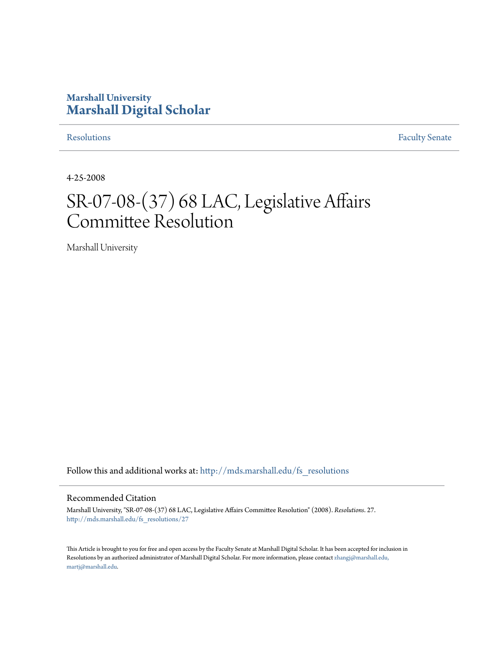## **Marshall University [Marshall Digital Scholar](http://mds.marshall.edu?utm_source=mds.marshall.edu%2Ffs_resolutions%2F27&utm_medium=PDF&utm_campaign=PDFCoverPages)**

[Resolutions](http://mds.marshall.edu/fs_resolutions?utm_source=mds.marshall.edu%2Ffs_resolutions%2F27&utm_medium=PDF&utm_campaign=PDFCoverPages) [Faculty Senate](http://mds.marshall.edu/fs?utm_source=mds.marshall.edu%2Ffs_resolutions%2F27&utm_medium=PDF&utm_campaign=PDFCoverPages)

4-25-2008

# SR-07-08-(37) 68 LAC, Legislative Affairs Committee Resolution

Marshall University

Follow this and additional works at: [http://mds.marshall.edu/fs\\_resolutions](http://mds.marshall.edu/fs_resolutions?utm_source=mds.marshall.edu%2Ffs_resolutions%2F27&utm_medium=PDF&utm_campaign=PDFCoverPages)

#### Recommended Citation

Marshall University, "SR-07-08-(37) 68 LAC, Legislative Affairs Committee Resolution" (2008). *Resolutions*. 27. [http://mds.marshall.edu/fs\\_resolutions/27](http://mds.marshall.edu/fs_resolutions/27?utm_source=mds.marshall.edu%2Ffs_resolutions%2F27&utm_medium=PDF&utm_campaign=PDFCoverPages)

This Article is brought to you for free and open access by the Faculty Senate at Marshall Digital Scholar. It has been accepted for inclusion in Resolutions by an authorized administrator of Marshall Digital Scholar. For more information, please contact [zhangj@marshall.edu,](mailto:zhangj@marshall.edu,%20martj@marshall.edu) [martj@marshall.edu](mailto:zhangj@marshall.edu,%20martj@marshall.edu).